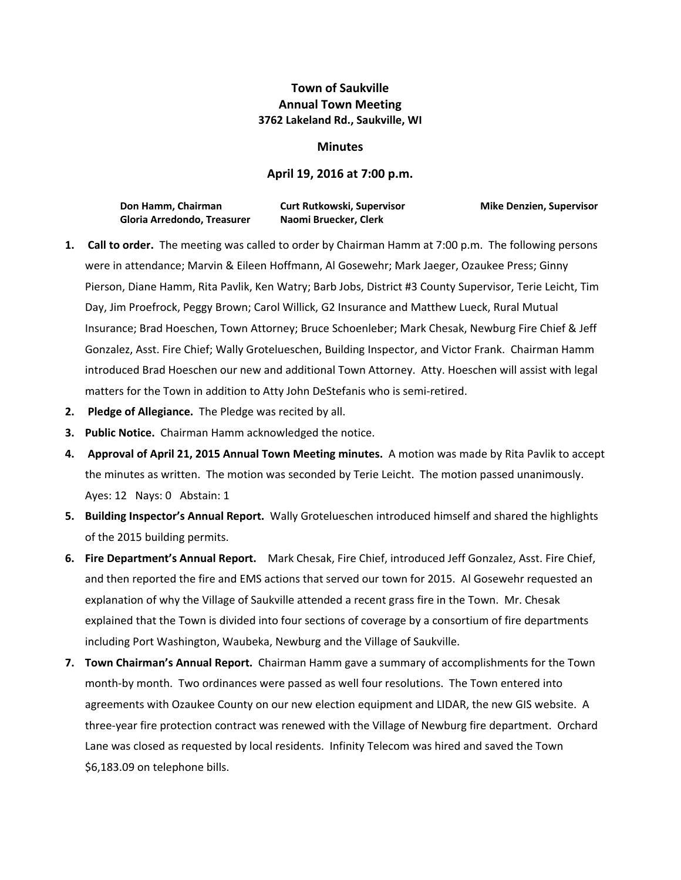## **Town of Saukville Annual Town Meeting 3762 Lakeland Rd., Saukville, WI**

## **Minutes**

## **April 19, 2016 at 7:00 p.m.**

| Don Hamm, Chairman          | <b>Curt Rutkowski, Supervisor</b> |
|-----------------------------|-----------------------------------|
| Gloria Arredondo, Treasurer | Naomi Bruecker, Clerk             |

**Mike Denzien, Supervisor** 

- **1. Call to order.** The meeting was called to order by Chairman Hamm at 7:00 p.m. The following persons were in attendance; Marvin & Eileen Hoffmann, Al Gosewehr; Mark Jaeger, Ozaukee Press; Ginny Pierson, Diane Hamm, Rita Pavlik, Ken Watry; Barb Jobs, District #3 County Supervisor, Terie Leicht, Tim Day, Jim Proefrock, Peggy Brown; Carol Willick, G2 Insurance and Matthew Lueck, Rural Mutual Insurance; Brad Hoeschen, Town Attorney; Bruce Schoenleber; Mark Chesak, Newburg Fire Chief & Jeff Gonzalez, Asst. Fire Chief; Wally Grotelueschen, Building Inspector, and Victor Frank. Chairman Hamm introduced Brad Hoeschen our new and additional Town Attorney. Atty. Hoeschen will assist with legal matters for the Town in addition to Atty John DeStefanis who is semi-retired.
- **2. Pledge of Allegiance.** The Pledge was recited by all.
- **3. Public Notice.** Chairman Hamm acknowledged the notice.
- **4. Approval of April 21, 2015 Annual Town Meeting minutes.** A motion was made by Rita Pavlik to accept the minutes as written. The motion was seconded by Terie Leicht. The motion passed unanimously. Ayes: 12 Nays: 0 Abstain: 1
- **5. Building Inspector's Annual Report.** Wally Grotelueschen introduced himself and shared the highlights of the 2015 building permits.
- **6. Fire Department's Annual Report.** Mark Chesak, Fire Chief, introduced Jeff Gonzalez, Asst. Fire Chief, and then reported the fire and EMS actions that served our town for 2015. Al Gosewehr requested an explanation of why the Village of Saukville attended a recent grass fire in the Town. Mr. Chesak explained that the Town is divided into four sections of coverage by a consortium of fire departments including Port Washington, Waubeka, Newburg and the Village of Saukville.
- **7. Town Chairman's Annual Report.** Chairman Hamm gave a summary of accomplishments for the Town month-by month. Two ordinances were passed as well four resolutions. The Town entered into agreements with Ozaukee County on our new election equipment and LIDAR, the new GIS website. A three‐year fire protection contract was renewed with the Village of Newburg fire department. Orchard Lane was closed as requested by local residents. Infinity Telecom was hired and saved the Town \$6,183.09 on telephone bills.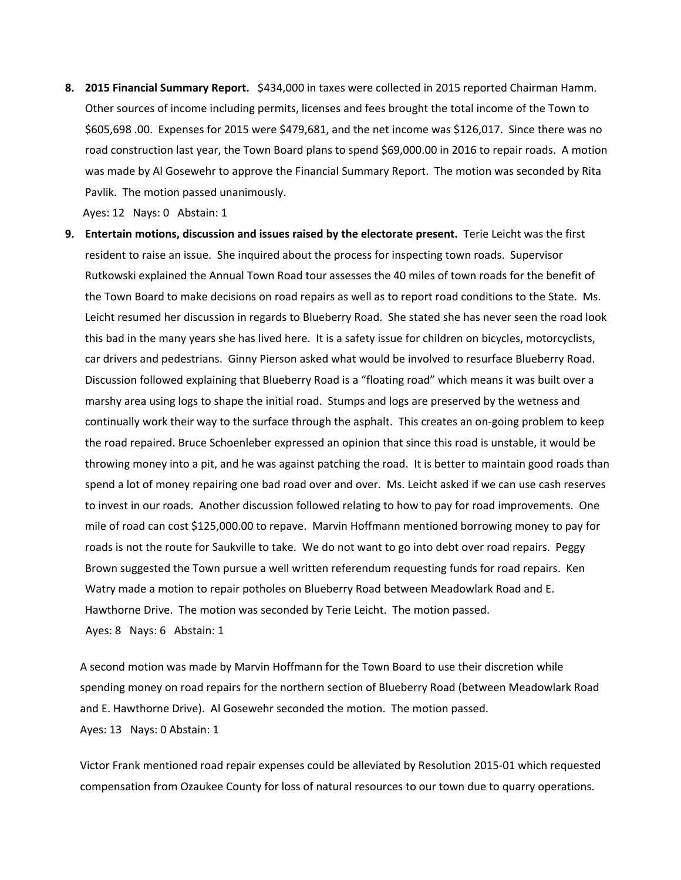**8. 2015 Financial Summary Report.** \$434,000 in taxes were collected in 2015 reported Chairman Hamm. Other sources of income including permits, licenses and fees brought the total income of the Town to \$605,698 .00. Expenses for 2015 were \$479,681, and the net income was \$126,017. Since there was no road construction last year, the Town Board plans to spend \$69,000.00 in 2016 to repair roads. A motion was made by Al Gosewehr to approve the Financial Summary Report. The motion was seconded by Rita Pavlik. The motion passed unanimously.

Ayes: 12 Nays: 0 Abstain: 1

**9. Entertain motions, discussion and issues raised by the electorate present.** Terie Leicht was the first resident to raise an issue. She inquired about the process for inspecting town roads. Supervisor Rutkowski explained the Annual Town Road tour assesses the 40 miles of town roads for the benefit of the Town Board to make decisions on road repairs as well as to report road conditions to the State. Ms. Leicht resumed her discussion in regards to Blueberry Road. She stated she has never seen the road look this bad in the many years she has lived here. It is a safety issue for children on bicycles, motorcyclists, car drivers and pedestrians. Ginny Pierson asked what would be involved to resurface Blueberry Road. Discussion followed explaining that Blueberry Road is a "floating road" which means it was built over a marshy area using logs to shape the initial road. Stumps and logs are preserved by the wetness and continually work their way to the surface through the asphalt. This creates an on‐going problem to keep the road repaired. Bruce Schoenleber expressed an opinion that since this road is unstable, it would be throwing money into a pit, and he was against patching the road. It is better to maintain good roads than spend a lot of money repairing one bad road over and over. Ms. Leicht asked if we can use cash reserves to invest in our roads. Another discussion followed relating to how to pay for road improvements. One mile of road can cost \$125,000.00 to repave. Marvin Hoffmann mentioned borrowing money to pay for roads is not the route for Saukville to take. We do not want to go into debt over road repairs. Peggy Brown suggested the Town pursue a well written referendum requesting funds for road repairs. Ken Watry made a motion to repair potholes on Blueberry Road between Meadowlark Road and E. Hawthorne Drive. The motion was seconded by Terie Leicht. The motion passed. Ayes: 8 Nays: 6 Abstain: 1

A second motion was made by Marvin Hoffmann for the Town Board to use their discretion while spending money on road repairs for the northern section of Blueberry Road (between Meadowlark Road and E. Hawthorne Drive). Al Gosewehr seconded the motion. The motion passed. Ayes: 13 Nays: 0 Abstain: 1

Victor Frank mentioned road repair expenses could be alleviated by Resolution 2015‐01 which requested compensation from Ozaukee County for loss of natural resources to our town due to quarry operations.